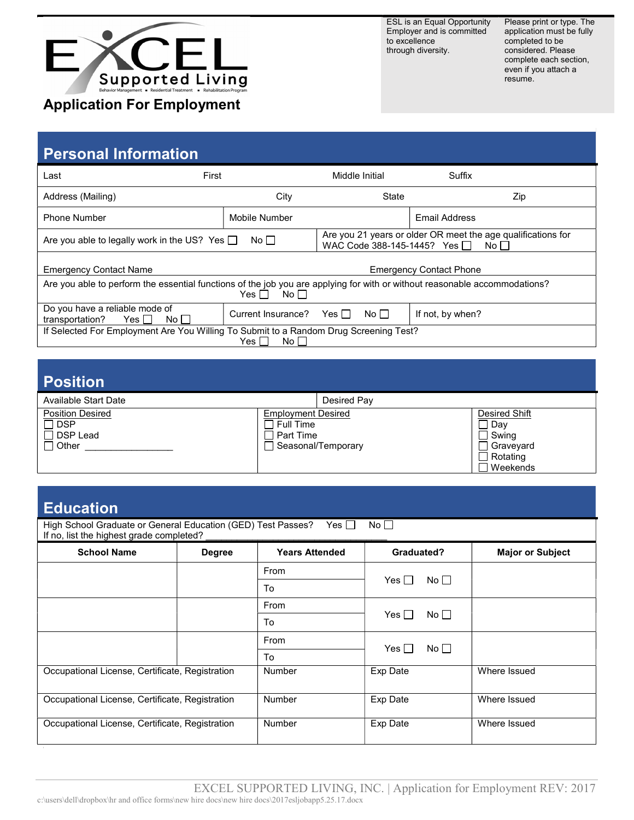

ESL is an Equal Opportunity Employer and is committed to excellence through diversity.

Please print or type. The application must be fully completed to be considered. Please complete each section, even if you attach a resume.

# Personal Information

| Last                                                                                                                                                  | First              |       | Middle Initial                                                                                            | Suffix           |     |
|-------------------------------------------------------------------------------------------------------------------------------------------------------|--------------------|-------|-----------------------------------------------------------------------------------------------------------|------------------|-----|
| Address (Mailing)                                                                                                                                     | City               |       | State                                                                                                     |                  | Zip |
| <b>Phone Number</b>                                                                                                                                   | Mobile Number      |       |                                                                                                           | Email Address    |     |
| Are you able to legally work in the US? Yes $\Box$<br>No <sub>1</sub>                                                                                 |                    |       | Are you 21 years or older OR meet the age qualifications for<br>WAC Code 388-145-1445? Yes □<br>No $\Box$ |                  |     |
| <b>Emergency Contact Name</b><br><b>Emergency Contact Phone</b>                                                                                       |                    |       |                                                                                                           |                  |     |
| Are you able to perform the essential functions of the job you are applying for with or without reasonable accommodations?<br>No $\Box$<br>Yes $\Box$ |                    |       |                                                                                                           |                  |     |
| Do you have a reliable mode of<br>transportation?<br>Yes $\Box$<br>No II                                                                              | Current Insurance? | Yes ∏ | No <sub>1</sub>                                                                                           | If not, by when? |     |
| If Selected For Employment Are You Willing To Submit to a Random Drug Screening Test?<br>No $\Box$<br>Yes $\Box$                                      |                    |       |                                                                                                           |                  |     |

| <b>Position</b>                                                          |                                                     |                    |                                                                    |
|--------------------------------------------------------------------------|-----------------------------------------------------|--------------------|--------------------------------------------------------------------|
| Available Start Date                                                     |                                                     | Desired Pay        |                                                                    |
| <b>Position Desired</b><br>$\Box$ DSP<br>$\Box$ DSP Lead<br>$\Box$ Other | <b>Employment Desired</b><br>Full Time<br>Part Time | Seasonal/Temporary | Desired Shift<br>Day<br>Swing<br>Graveyard<br>Rotating<br>Weekends |

## Education

| ---------                                                                                                               |               |                       |                   |                         |
|-------------------------------------------------------------------------------------------------------------------------|---------------|-----------------------|-------------------|-------------------------|
| High School Graduate or General Education (GED) Test Passes?<br>$No \BoxYes IIIf no, list the highest grade completed?$ |               |                       |                   |                         |
| <b>School Name</b>                                                                                                      | <b>Degree</b> | <b>Years Attended</b> | Graduated?        | <b>Major or Subject</b> |
|                                                                                                                         |               | From                  | $No \BoxYes II$   |                         |
|                                                                                                                         |               | To                    |                   |                         |
|                                                                                                                         |               | From                  |                   |                         |
|                                                                                                                         |               | To                    | No<br>Yes II      |                         |
|                                                                                                                         |               | From                  | $No \BoxYes \Box$ |                         |
|                                                                                                                         |               | To                    |                   |                         |
| Occupational License, Certificate, Registration                                                                         |               | Number                | Exp Date          | Where Issued            |
| Occupational License, Certificate, Registration                                                                         |               | <b>Number</b>         | Exp Date          | Where Issued            |
| Occupational License, Certificate, Registration                                                                         |               | Number                | Exp Date          | Where Issued            |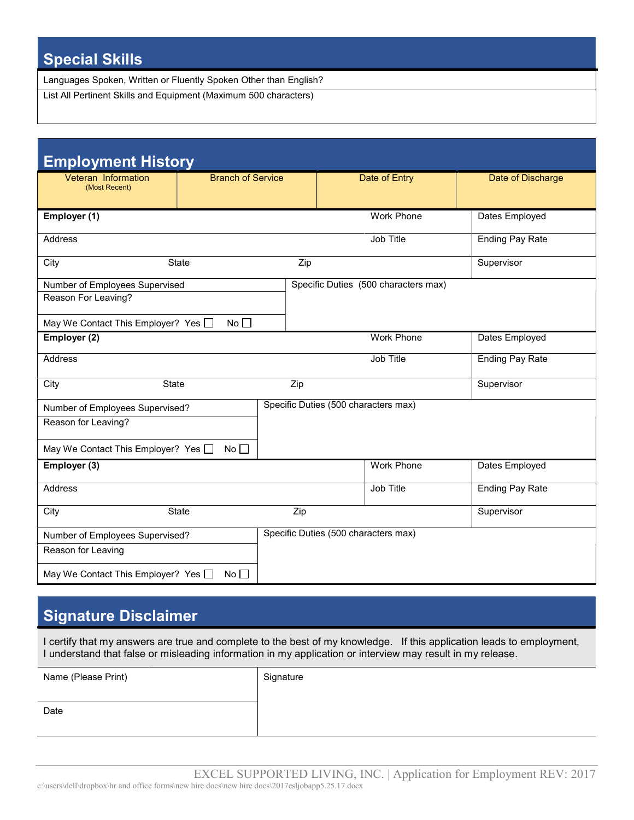# Special Skills

Languages Spoken, Written or Fluently Spoken Other than English?

List All Pertinent Skills and Equipment (Maximum 500 characters)

| <b>Employment History</b>                      |                          |     |                                      |                        |
|------------------------------------------------|--------------------------|-----|--------------------------------------|------------------------|
| Veteran Information<br>(Most Recent)           | <b>Branch of Service</b> |     | Date of Entry                        | Date of Discharge      |
| Employer (1)                                   |                          |     | <b>Work Phone</b>                    | Dates Employed         |
| Address                                        |                          |     | Job Title                            | <b>Ending Pay Rate</b> |
| City                                           | <b>State</b>             | Zip |                                      | Supervisor             |
| Number of Employees Supervised                 |                          |     | Specific Duties (500 characters max) |                        |
| Reason For Leaving?                            |                          |     |                                      |                        |
| May We Contact This Employer? Yes $\Box$<br>No |                          |     |                                      |                        |
| Employer (2)                                   |                          |     | <b>Work Phone</b>                    | Dates Employed         |
| <b>Address</b>                                 |                          |     | Job Title                            | <b>Ending Pay Rate</b> |
| City<br><b>State</b>                           |                          | Zip |                                      | Supervisor             |
| Number of Employees Supervised?                |                          |     | Specific Duties (500 characters max) |                        |
| Reason for Leaving?                            |                          |     |                                      |                        |
| May We Contact This Employer? Yes $\square$    | No <sub>1</sub>          |     |                                      |                        |
| Employer (3)                                   |                          |     | Work Phone                           | Dates Employed         |
| <b>Address</b>                                 |                          |     | Job Title                            | <b>Ending Pay Rate</b> |
| City                                           | State                    | Zip |                                      | Supervisor             |
| Number of Employees Supervised?                |                          |     | Specific Duties (500 characters max) |                        |
| Reason for Leaving                             |                          |     |                                      |                        |
| May We Contact This Employer? Yes $\Box$       | $No \Box$                |     |                                      |                        |

## Signature Disclaimer

I certify that my answers are true and complete to the best of my knowledge. If this application leads to employment, I understand that false or misleading information in my application or interview may result in my release.

| Name (Please Print) | Signature |
|---------------------|-----------|
|                     |           |
| Date                |           |
|                     |           |
|                     |           |